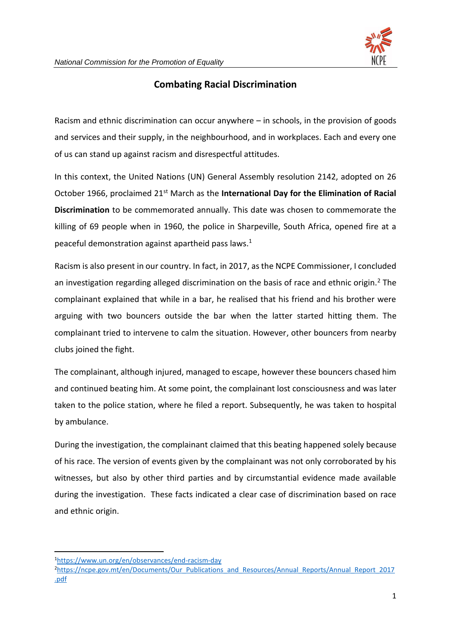

## **Combating Racial Discrimination**

Racism and ethnic discrimination can occur anywhere – in schools, in the provision of goods and services and their supply, in the neighbourhood, and in workplaces. Each and every one of us can stand up against racism and disrespectful attitudes.

In this context, the United Nations (UN) General Assembly resolution 2142, adopted on 26 October 1966, proclaimed 21st March as the **International Day for the Elimination of Racial Discrimination** to be commemorated annually. This date was chosen to commemorate the killing of 69 people when in 1960, the police in Sharpeville, South Africa, opened fire at a peaceful demonstration against apartheid pass laws.<sup>1</sup>

Racism is also present in our country. In fact, in 2017, as the NCPE Commissioner, I concluded an investigation regarding alleged discrimination on the basis of race and ethnic origin.<sup>2</sup> The complainant explained that while in a bar, he realised that his friend and his brother were arguing with two bouncers outside the bar when the latter started hitting them. The complainant tried to intervene to calm the situation. However, other bouncers from nearby clubs joined the fight.

The complainant, although injured, managed to escape, however these bouncers chased him and continued beating him. At some point, the complainant lost consciousness and was later taken to the police station, where he filed a report. Subsequently, he was taken to hospital by ambulance.

During the investigation, the complainant claimed that this beating happened solely because of his race. The version of events given by the complainant was not only corroborated by his witnesses, but also by other third parties and by circumstantial evidence made available during the investigation. These facts indicated a clear case of discrimination based on race and ethnic origin.

<sup>1</sup><https://www.un.org/en/observances/end-racism-day>

<sup>2</sup>[https://ncpe.gov.mt/en/Documents/Our\\_Publications\\_and\\_Resources/Annual\\_Reports/Annual\\_Report\\_2017](https://ncpe.gov.mt/en/Documents/Our_Publications_and_Resources/Annual_Reports/Annual_Report_2017.pdf) [.pdf](https://ncpe.gov.mt/en/Documents/Our_Publications_and_Resources/Annual_Reports/Annual_Report_2017.pdf)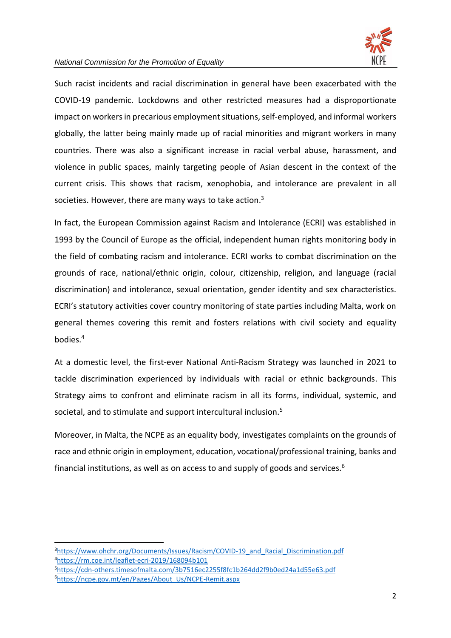

## *National Commission for the Promotion of Equality*

Such racist incidents and racial discrimination in general have been exacerbated with the COVID-19 pandemic. Lockdowns and other restricted measures had a disproportionate impact on workers in precarious employment situations, self-employed, and informal workers globally, the latter being mainly made up of racial minorities and migrant workers in many countries. There was also a significant increase in racial verbal abuse, harassment, and violence in public spaces, mainly targeting people of Asian descent in the context of the current crisis. This shows that racism, xenophobia, and intolerance are prevalent in all societies. However, there are many ways to take action.<sup>3</sup>

In fact, the European Commission against Racism and Intolerance (ECRI) was established in 1993 by the Council of Europe as the official, independent human rights monitoring body in the field of combating racism and intolerance. ECRI works to combat discrimination on the grounds of race, national/ethnic origin, colour, citizenship, religion, and language (racial discrimination) and intolerance, sexual orientation, gender identity and sex characteristics. ECRI's statutory activities cover country monitoring of state parties including Malta, work on general themes covering this remit and fosters relations with civil society and equality bodies.<sup>4</sup>

At a domestic level, the first-ever National Anti-Racism Strategy was launched in 2021 to tackle discrimination experienced by individuals with racial or ethnic backgrounds. This Strategy aims to confront and eliminate racism in all its forms, individual, systemic, and societal, and to stimulate and support intercultural inclusion.<sup>5</sup>

Moreover, in Malta, the NCPE as an equality body, investigates complaints on the grounds of race and ethnic origin in employment, education, vocational/professional training, banks and financial institutions, as well as on access to and supply of goods and services.<sup>6</sup>

<sup>&</sup>lt;sup>3</sup>[https://www.ohchr.org/Documents/Issues/Racism/COVID-19\\_and\\_Racial\\_Discrimination.pdf](https://www.ohchr.org/Documents/Issues/Racism/COVID-19_and_Racial_Discrimination.pdf) <sup>4</sup><https://rm.coe.int/leaflet-ecri-2019/168094b101>

<sup>5</sup><https://cdn-others.timesofmalta.com/3b7516ec2255f8fc1b264dd2f9b0ed24a1d55e63.pdf> 6[https://ncpe.gov.mt/en/Pages/About\\_Us/NCPE-Remit.aspx](https://ncpe.gov.mt/en/Pages/About_Us/NCPE-Remit.aspx)